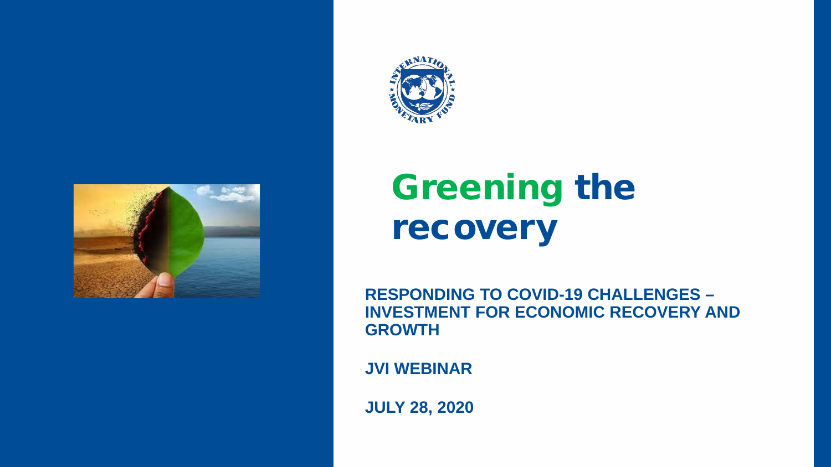



# Greening the recovery

**RESPONDING TO COVID-19 CHALLENGES – INVESTMENT FOR ECONOMIC RECOVERY AND GROWTH**

**JVI WEBINAR**

**JULY 28, 2020**

INTERNATIONAL MONETARY FUND 1, INTERNATIONAL MONETARY FUND 1, INTERNATIONAL MONETARY FUND 1, INTERNATIONAL MON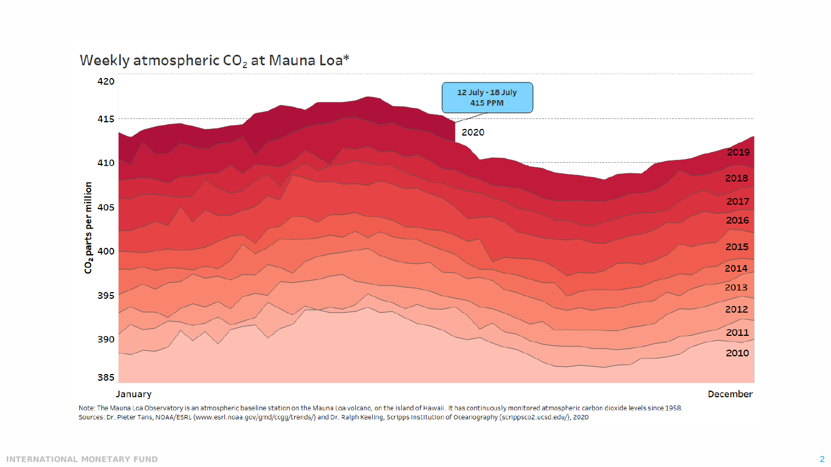

Note: The Mauna Loa Observatory is an atmospheric baseline station on the Mauna Loa volcano, on the island of Hawaii. It has continuously monitored atmospheric carbon dioxide levels since 1958. Sources: Dr. Pieter Tans, NOAA/ESRL (www.esrl.noaa.gov/gmd/ccgg/trends/) and Dr. Ralph Keeling, Scripps Institution of Oceanography (scrippsco2.ucsd.edu/), 2020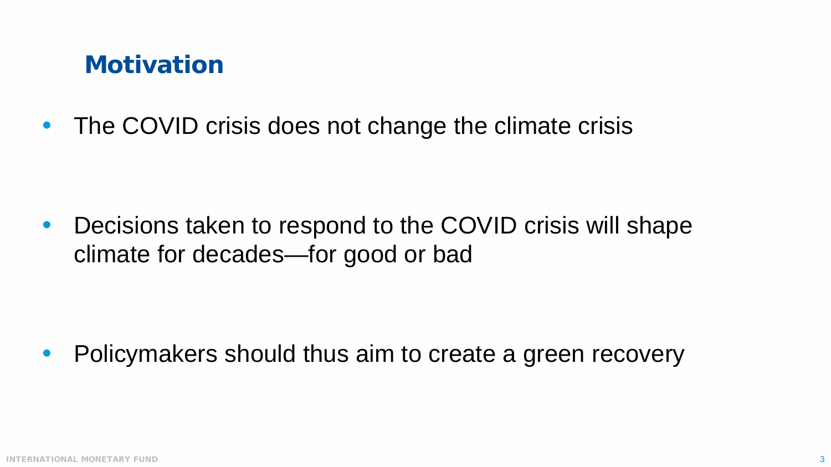#### **Motivation**

• The COVID crisis does not change the climate crisis

• Decisions taken to respond to the COVID crisis will shape climate for decades—for good or bad

• Policymakers should thus aim to create a green recovery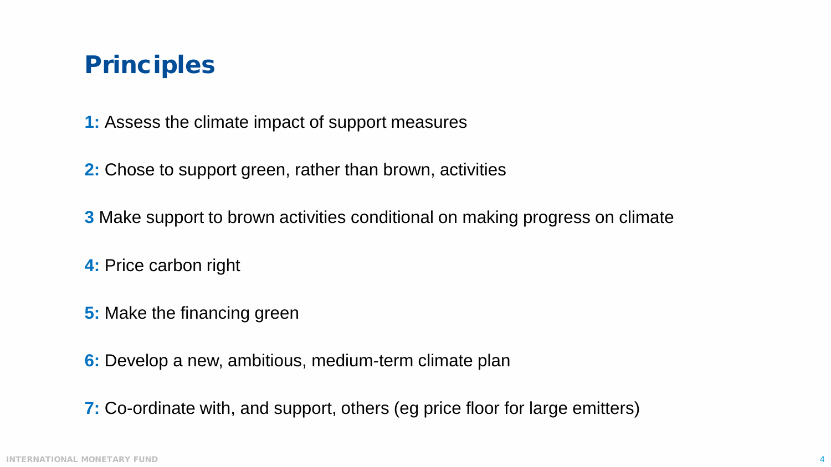## Principles

**1:** Assess the climate impact of support measures

**2:** Chose to support green, rather than brown, activities

**3** Make support to brown activities conditional on making progress on climate

**4:** Price carbon right

**5:** Make the financing green

**6:** Develop a new, ambitious, medium-term climate plan

**7:** Co-ordinate with, and support, others (eg price floor for large emitters)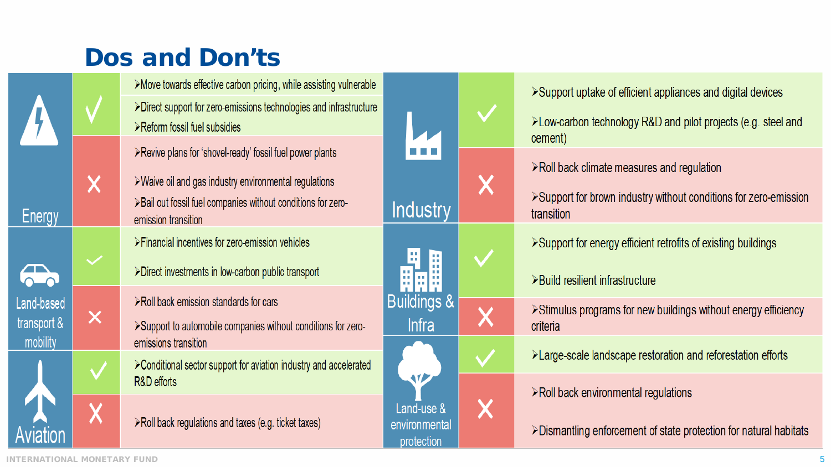## Dos and Don'ts

>Move towards effective carbon pricing, while assisting vulnerable >Direct support for zero-emissions technologies and infrastructure >Reform fossil fuel subsidies

≻Revive plans for 'shovel-ready' fossil fuel power plants

>Waive oil and gas industry environmental regulations >Bail out fossil fuel companies without conditions for zeroemission transition

>Financial incentives for zero-emission vehicles

>Direct investments in low-carbon public transport

>Roll back emission standards for cars

>Support to automobile companies without conditions for zeroemissions transition

> Conditional sector support for aviation industry and accelerated R&D efforts

 $\triangleright$  Roll back regulations and taxes (e.g. ticket taxes)



>Support uptake of efficient appliances and digital devices >Low-carbon technology R&D and pilot projects (e.g. steel and cement) >Roll back climate measures and regulation >Support for brown industry without conditions for zero-emission transition ≻Support for energy efficient retrofits of existing buildings >Build resilient infrastructure >Stimulus programs for new buildings without energy efficiency criteria >Large-scale landscape restoration and reforestation efforts  $\triangleright$  Roll back environmental regulations

>Dismantling enforcement of state protection for natural habitats

 $\bm{\mathsf{X}}$ 

 $\times$ 

**Energy** 

Land-based

transport &

mobility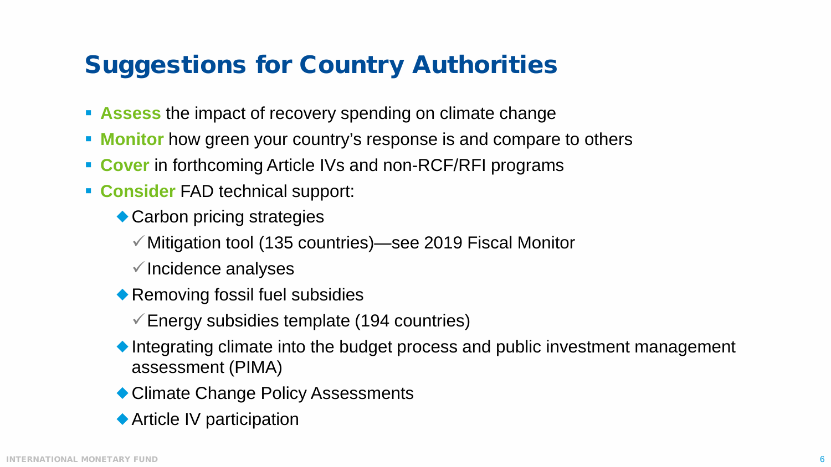# Suggestions for Country Authorities

- **Assess** the impact of recovery spending on climate change
- **Monitor** how green your country's response is and compare to others
- **Cover** in forthcoming Article IVs and non-RCF/RFI programs
- **Consider** FAD technical support:
	- ◆ Carbon pricing strategies
		- Mitigation tool (135 countries)—see 2019 Fiscal Monitor
		- $\checkmark$  Incidence analyses
	- ◆ Removing fossil fuel subsidies
		- $\checkmark$  Energy subsidies template (194 countries)
	- ◆Integrating climate into the budget process and public investment management assessment (PIMA)
	- ◆ Climate Change Policy Assessments
	- ◆ Article IV participation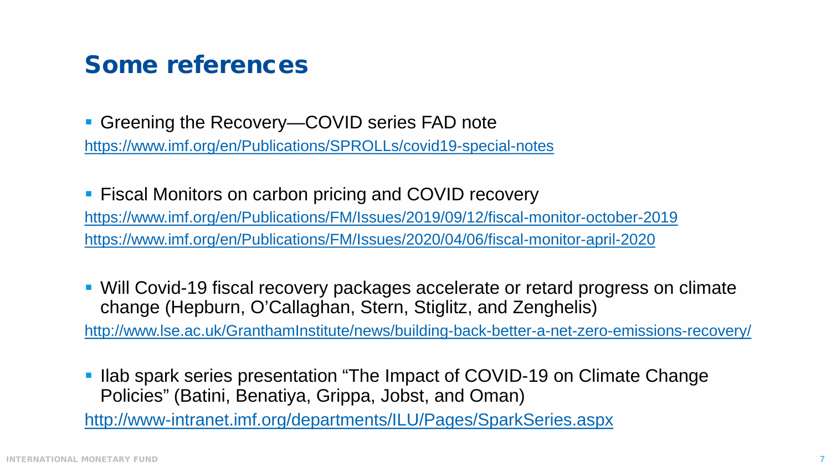#### Some references

■ Greening the Recovery—COVID series FAD note <https://www.imf.org/en/Publications/SPROLLs/covid19-special-notes>

**Fiscal Monitors on carbon pricing and COVID recovery** <https://www.imf.org/en/Publications/FM/Issues/2019/09/12/fiscal-monitor-october-2019> <https://www.imf.org/en/Publications/FM/Issues/2020/04/06/fiscal-monitor-april-2020>

 Will Covid-19 fiscal recovery packages accelerate or retard progress on climate change (Hepburn, O'Callaghan, Stern, Stiglitz, and Zenghelis) <http://www.lse.ac.uk/GranthamInstitute/news/building-back-better-a-net-zero-emissions-recovery/>

I llab spark series presentation "The Impact of COVID-19 on Climate Change Policies" (Batini, Benatiya, Grippa, Jobst, and Oman)

<http://www-intranet.imf.org/departments/ILU/Pages/SparkSeries.aspx>